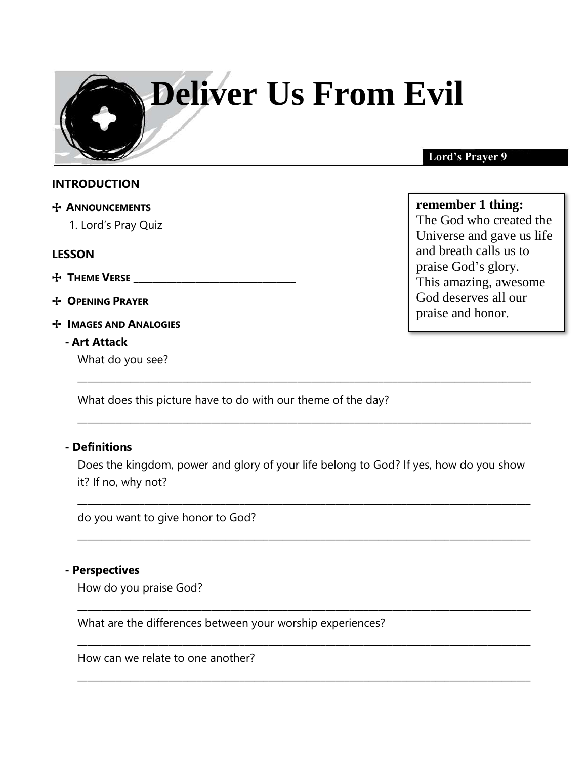# **Deliver Us From Evil**

#### **INTRODUCTION**

- + **ANNOUNCEMENTS** 
	- 1. Lord's Pray Quiz

#### **LESSON**

- + **THEME VERSE** \_\_\_\_\_\_\_\_\_\_\_\_\_\_\_\_\_\_\_\_\_\_\_\_\_\_\_\_\_\_\_\_\_\_
- + **OPENING PRAYER**
- + **IMAGES AND ANALOGIES**

#### **- Art Attack**

What do you see?

\_\_\_\_\_\_\_\_\_\_\_\_\_\_\_\_\_\_\_\_\_\_\_\_\_\_\_\_\_\_\_\_\_\_\_\_\_\_\_\_\_\_\_\_\_\_\_\_\_\_\_\_\_\_\_\_\_\_\_\_\_\_\_\_\_\_\_\_\_\_\_\_\_\_\_\_\_\_\_\_\_\_\_\_\_\_\_\_\_\_\_\_\_\_\_ What does this picture have to do with our theme of the day?

#### **- Definitions**

Does the kingdom, power and glory of your life belong to God? If yes, how do you show it? If no, why not?

\_\_\_\_\_\_\_\_\_\_\_\_\_\_\_\_\_\_\_\_\_\_\_\_\_\_\_\_\_\_\_\_\_\_\_\_\_\_\_\_\_\_\_\_\_\_\_\_\_\_\_\_\_\_\_\_\_\_\_\_\_\_\_\_\_\_\_\_\_\_\_\_\_\_\_\_\_\_\_\_\_\_\_\_\_\_\_\_\_\_\_\_\_\_\_

\_\_\_\_\_\_\_\_\_\_\_\_\_\_\_\_\_\_\_\_\_\_\_\_\_\_\_\_\_\_\_\_\_\_\_\_\_\_\_\_\_\_\_\_\_\_\_\_\_\_\_\_\_\_\_\_\_\_\_\_\_\_\_\_\_\_\_\_\_\_\_\_\_\_\_\_\_\_\_\_\_\_\_\_\_\_\_\_\_\_\_\_\_\_\_

\_\_\_\_\_\_\_\_\_\_\_\_\_\_\_\_\_\_\_\_\_\_\_\_\_\_\_\_\_\_\_\_\_\_\_\_\_\_\_\_\_\_\_\_\_\_\_\_\_\_\_\_\_\_\_\_\_\_\_\_\_\_\_\_\_\_\_\_\_\_\_\_\_\_\_\_\_\_\_\_\_\_\_\_\_\_\_\_\_\_\_\_\_\_\_

\_\_\_\_\_\_\_\_\_\_\_\_\_\_\_\_\_\_\_\_\_\_\_\_\_\_\_\_\_\_\_\_\_\_\_\_\_\_\_\_\_\_\_\_\_\_\_\_\_\_\_\_\_\_\_\_\_\_\_\_\_\_\_\_\_\_\_\_\_\_\_\_\_\_\_\_\_\_\_\_\_\_\_\_\_\_\_\_\_\_\_\_\_\_\_

\_\_\_\_\_\_\_\_\_\_\_\_\_\_\_\_\_\_\_\_\_\_\_\_\_\_\_\_\_\_\_\_\_\_\_\_\_\_\_\_\_\_\_\_\_\_\_\_\_\_\_\_\_\_\_\_\_\_\_\_\_\_\_\_\_\_\_\_\_\_\_\_\_\_\_\_\_\_\_\_\_\_\_\_\_\_\_\_\_\_\_\_\_\_\_

\_\_\_\_\_\_\_\_\_\_\_\_\_\_\_\_\_\_\_\_\_\_\_\_\_\_\_\_\_\_\_\_\_\_\_\_\_\_\_\_\_\_\_\_\_\_\_\_\_\_\_\_\_\_\_\_\_\_\_\_\_\_\_\_\_\_\_\_\_\_\_\_\_\_\_\_\_\_\_\_\_\_\_\_\_\_\_\_\_\_\_\_\_\_\_

do you want to give honor to God?

#### **- Perspectives**

How do you praise God?

What are the differences between your worship experiences?

How can we relate to one another?

### **Lord's Prayer 9**

# **remember 1 thing:**

The God who created the Universe and gave us life and breath calls us to praise God's glory. This amazing, awesome God deserves all our praise and honor.